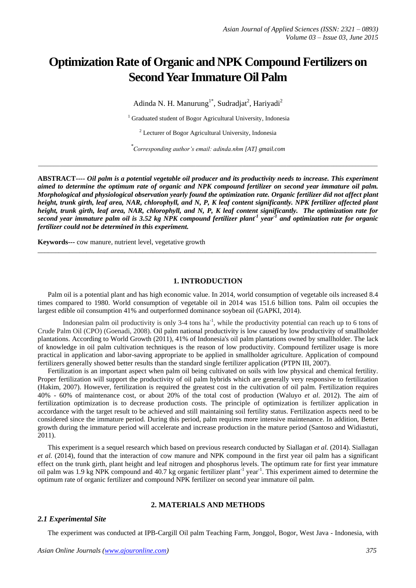# **Optimization Rate of Organic and NPK Compound Fertilizers on Second Year Immature Oil Palm**

Adinda N. H. Manurung<sup>1\*</sup>, Sudradjat<sup>2</sup>, Hariyadi<sup>2</sup>

<sup>1</sup> Graduated student of Bogor Agricultural University, Indonesia

<sup>2</sup> Lecturer of Bogor Agricultural University, Indonesia

*\* Corresponding author's email: adinda.nhm [AT] gmail.com*

\_\_\_\_\_\_\_\_\_\_\_\_\_\_\_\_\_\_\_\_\_\_\_\_\_\_\_\_\_\_\_\_\_\_\_\_\_\_\_\_\_\_\_\_\_\_\_\_\_\_\_\_\_\_\_\_\_\_\_\_\_\_\_\_\_\_\_\_\_\_\_\_\_\_\_\_\_\_\_\_\_\_\_\_\_\_\_\_\_\_\_\_\_\_\_\_\_\_\_\_\_\_\_\_\_\_\_\_

**ABSTRACT----** *Oil palm is a potential vegetable oil producer and its productivity needs to increase. This experiment aimed to determine the optimum rate of organic and NPK compound fertilizer on second year immature oil palm. Morphological and physiological observation yearly found the optimization rate. Organic fertilizer did not affect plant height, trunk girth, leaf area, NAR, chlorophyll, and N, P, K leaf content significantly. NPK fertilizer affected plant height, trunk girth, leaf area, NAR, chlorophyll, and N, P, K leaf content significantly. The optimization rate for second year immature palm oil is 3.52 kg NPK compound fertilizer plant-1 year-1 and optimization rate for organic fertilizer could not be determined in this experiment.*

**Keywords---** cow manure, nutrient level, vegetative growth

## **1. INTRODUCTION**

 $\_$  ,  $\_$  ,  $\_$  ,  $\_$  ,  $\_$  ,  $\_$  ,  $\_$  ,  $\_$  ,  $\_$  ,  $\_$  ,  $\_$  ,  $\_$  ,  $\_$  ,  $\_$  ,  $\_$  ,  $\_$  ,  $\_$  ,  $\_$  ,  $\_$  ,  $\_$  ,  $\_$  ,  $\_$  ,  $\_$  ,  $\_$  ,  $\_$  ,  $\_$  ,  $\_$  ,  $\_$  ,  $\_$  ,  $\_$  ,  $\_$  ,  $\_$  ,  $\_$  ,  $\_$  ,  $\_$  ,  $\_$  ,  $\_$  ,

Palm oil is a potential plant and has high economic value. In 2014, world consumption of vegetable oils increased 8.4 times compared to 1980. World consumption of vegetable oil in 2014 was 151.6 billion tons. Palm oil occupies the largest edible oil consumption 41% and outperformed dominance soybean oil (GAPKI, 2014).

Indonesian palm oil productivity is only 3-4 tons  $ha^{-1}$ , while the productivity potential can reach up to 6 tons of Crude Palm Oil (CPO) (Goenadi, 2008). Oil palm national productivity is low caused by low productivity of smallholder plantations. According to World Growth (2011), 41% of Indonesia's oil palm plantations owned by smallholder. The lack of knowledge in oil palm cultivation techniques is the reason of low productivity. Compound fertilizer usage is more practical in application and labor-saving appropriate to be applied in smallholder agriculture. Application of compound fertilizers generally showed better results than the standard single fertilizer application (PTPN III, 2007).

Fertilization is an important aspect when palm oil being cultivated on soils with low physical and chemical fertility. Proper fertilization will support the productivity of oil palm hybrids which are generally very responsive to fertilization (Hakim, 2007). However, fertilization is required the greatest cost in the cultivation of oil palm. Fertilization requires 40% - 60% of maintenance cost, or about 20% of the total cost of production (Waluyo *et al*. 2012). The aim of fertilization optimization is to decrease production costs. The principle of optimization is fertilizer application in accordance with the target result to be achieved and still maintaining soil fertility status. Fertilization aspects need to be considered since the immature period. During this period, palm requires more intensive maintenance. In addition, Better growth during the immature period will accelerate and increase production in the mature period (Santoso and Widiastuti, 2011).

This experiment is a sequel research which based on previous research conducted by Siallagan *et al.* (2014). Siallagan *et al.* (2014), found that the interaction of cow manure and NPK compound in the first year oil palm has a significant effect on the trunk girth, plant height and leaf nitrogen and phosphorus levels. The optimum rate for first year immature oil palm was 1.9 kg NPK compound and 40.7 kg organic fertilizer plant<sup>-1</sup> year<sup>-1</sup>. This experiment aimed to determine the optimum rate of organic fertilizer and compound NPK fertilizer on second year immature oil palm.

# **2. MATERIALS AND METHODS**

#### *2.1 Experimental Site*

The experiment was conducted at IPB-Cargill Oil palm Teaching Farm, Jonggol, Bogor, West Java - Indonesia, with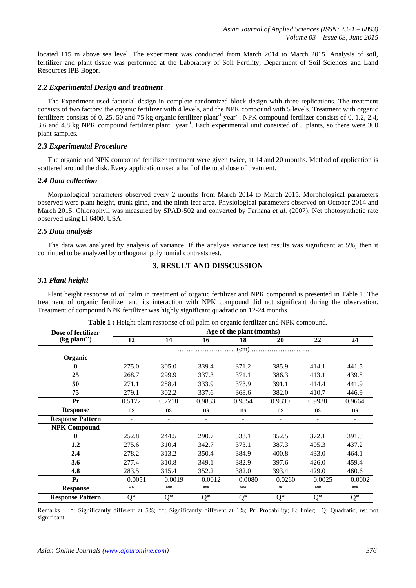located 115 m above sea level. The experiment was conducted from March 2014 to March 2015. Analysis of soil, fertilizer and plant tissue was performed at the Laboratory of Soil Fertility, Department of Soil Sciences and Land Resources IPB Bogor.

# *2.2 Experimental Design and treatment*

The Experiment used factorial design in complete randomized block design with three replications. The treatment consists of two factors: the organic fertilizer with 4 levels, and the NPK compound with 5 levels. Treatment with organic fertilizers consists of 0, 25, 50 and 75 kg organic fertilizer plant<sup>-1</sup> year<sup>-1</sup>. NPK compound fertilizer consists of 0, 1.2, 2.4, 3.6 and 4.8 kg NPK compound fertilizer plant<sup>-1</sup> year<sup>-1</sup>. Each experimental unit consisted of 5 plants, so there were 300 plant samples.

# *2.3 Experimental Procedure*

The organic and NPK compound fertilizer treatment were given twice, at 14 and 20 months. Method of application is scattered around the disk. Every application used a half of the total dose of treatment.

# *2.4 Data collection*

Morphological parameters observed every 2 months from March 2014 to March 2015. Morphological parameters observed were plant height, trunk girth, and the ninth leaf area. Physiological parameters observed on October 2014 and March 2015. Chlorophyll was measured by SPAD-502 and converted by Farhana *et al*. (2007). Net photosynthetic rate observed using Li 6400, USA.

# *2.5 Data analysis*

The data was analyzed by analysis of variance. If the analysis variance test results was significant at 5%, then it continued to be analyzed by orthogonal polynomial contrasts test.

# **3. RESULT AND DISSCUSSION**

# *3.1 Plant height*

Plant height response of oil palm in treatment of organic fertilizer and NPK compound is presented in Table 1. The treatment of organic fertilizer and its interaction with NPK compound did not significant during the observation. Treatment of compound NPK fertilizer was highly significant quadratic on 12-24 months.

| Dose of fertilizer      |                          |                          |        | Age of the plant (months) |        |        |                          |
|-------------------------|--------------------------|--------------------------|--------|---------------------------|--------|--------|--------------------------|
| (kg plant')             | 12                       | 14                       | 16     | 18                        | 20     | 22     | 24                       |
|                         |                          |                          |        | (cm)                      |        |        |                          |
| Organic                 |                          |                          |        |                           |        |        |                          |
| 0                       | 275.0                    | 305.0                    | 339.4  | 371.2                     | 385.9  | 414.1  | 441.5                    |
| 25                      | 268.7                    | 299.9                    | 337.3  | 371.1                     | 386.3  | 413.1  | 439.8                    |
| 50                      | 271.1                    | 288.4                    | 333.9  | 373.9                     | 391.1  | 414.4  | 441.9                    |
| 75                      | 279.1                    | 302.2                    | 337.6  | 368.6                     | 382.0  | 410.7  | 446.9                    |
| Pr                      | 0.5172                   | 0.7718                   | 0.9833 | 0.9854                    | 0.9330 | 0.9938 | 0.9664                   |
| <b>Response</b>         | ns                       | ns                       | ns     | ns                        | ns     | ns     | ns                       |
| <b>Response Pattern</b> | $\overline{\phantom{a}}$ | $\overline{\phantom{a}}$ | -      | -                         | ٠      | -      | $\overline{\phantom{a}}$ |
| <b>NPK Compound</b>     |                          |                          |        |                           |        |        |                          |
| $\bf{0}$                | 252.8                    | 244.5                    | 290.7  | 333.1                     | 352.5  | 372.1  | 391.3                    |
| 1.2                     | 275.6                    | 310.4                    | 342.7  | 373.1                     | 387.3  | 405.3  | 437.2                    |
| 2.4                     | 278.2                    | 313.2                    | 350.4  | 384.9                     | 400.8  | 433.0  | 464.1                    |
| 3.6                     | 277.4                    | 310.8                    | 349.1  | 382.9                     | 397.6  | 426.0  | 459.4                    |
| 4.8                     | 283.5                    | 315.4                    | 352.2  | 382.0                     | 393.4  | 429.0  | 460.6                    |
| Pr                      | 0.0051                   | 0.0019                   | 0.0012 | 0.0080                    | 0.0260 | 0.0025 | 0.0002                   |
| <b>Response</b>         | $**$                     | **                       | $**$   | $\ast\ast$                | $\ast$ | **     | $\ast\ast$               |
| <b>Response Pattern</b> | $Q^*$                    | $Q^*$                    | $Q^*$  | $Q^*$                     | $Q^*$  | Q*     | $Q^*$                    |

**Table 1 :** Height plant response of oil palm on organic fertilizer and NPK compound.

Remarks : \*: Significantly different at 5%; \*\*: Significantly different at 1%; Pr: Probability; L: linier; Q: Quadratic; ns: not significant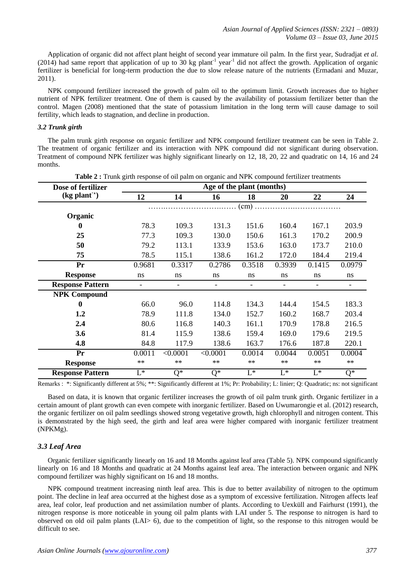Application of organic did not affect plant height of second year immature oil palm. In the first year, Sudradjat *et al.*  $(2014)$  had same report that application of up to 30 kg plant<sup>-1</sup> year<sup>-1</sup> did not affect the growth. Application of organic fertilizer is beneficial for long-term production the due to slow release nature of the nutrients (Ermadani and Muzar, 2011).

NPK compound fertilizer increased the growth of palm oil to the optimum limit. Growth increases due to higher nutrient of NPK fertilizer treatment. One of them is caused by the availability of potassium fertilizer better than the control. Magen (2008) mentioned that the state of potassium limitation in the long term will cause damage to soil fertility, which leads to stagnation, and decline in production.

#### *3.2 Trunk girth*

The palm trunk girth response on organic fertilizer and NPK compound fertilizer treatment can be seen in Table 2. The treatment of organic fertilizer and its interaction with NPK compound did not significant during observation. Treatment of compound NPK fertilizer was highly significant linearly on 12, 18, 20, 22 and quadratic on 14, 16 and 24 months.

| Dose of fertilizer         |                           |                           | Age of the plant (months) |                          |                          |                          |                  |
|----------------------------|---------------------------|---------------------------|---------------------------|--------------------------|--------------------------|--------------------------|------------------|
| $(kg$ plant <sup>"</sup> ) | 12                        | 14                        | 16                        | 18                       | 20                       | 22                       | 24               |
|                            |                           |                           |                           | (cm)                     |                          |                          |                  |
| Organic                    |                           |                           |                           |                          |                          |                          |                  |
| 0                          | 78.3                      | 109.3                     | 131.3                     | 151.6                    | 160.4                    | 167.1                    | 203.9            |
| 25                         | 77.3                      | 109.3                     | 130.0                     | 150.6                    | 161.3                    | 170.2                    | 200.9            |
| 50                         | 79.2                      | 113.1                     | 133.9                     | 153.6                    | 163.0                    | 173.7                    | 210.0            |
| 75                         | 78.5                      | 115.1                     | 138.6                     | 161.2                    | 172.0                    | 184.4                    | 219.4            |
| Pr                         | 0.9681                    | 0.3317                    | 0.2786                    | 0.3518                   | 0.3939                   | 0.1415                   | 0.0979           |
| <b>Response</b>            | ns                        | ns                        | ns                        | ns                       | ns                       | ns                       | ns               |
| <b>Response Pattern</b>    | $\overline{\phantom{a}}$  | -                         | $\overline{\phantom{a}}$  | $\overline{\phantom{a}}$ | $\overline{\phantom{a}}$ | $\overline{\phantom{a}}$ |                  |
| <b>NPK Compound</b>        |                           |                           |                           |                          |                          |                          |                  |
| $\mathbf{0}$               | 66.0                      | 96.0                      | 114.8                     | 134.3                    | 144.4                    | 154.5                    | 183.3            |
| 1.2                        | 78.9                      | 111.8                     | 134.0                     | 152.7                    | 160.2                    | 168.7                    | 203.4            |
| 2.4                        | 80.6                      | 116.8                     | 140.3                     | 161.1                    | 170.9                    | 178.8                    | 216.5            |
| 3.6                        | 81.4                      | 115.9                     | 138.6                     | 159.4                    | 169.0                    | 179.6                    | 219.5            |
| 4.8                        | 84.8                      | 117.9                     | 138.6                     | 163.7                    | 176.6                    | 187.8                    | 220.1            |
| Pr                         | 0.0011                    | < 0.0001                  | < 0.0001                  | 0.0014                   | 0.0044                   | 0.0051                   | 0.0004           |
| <b>Response</b>            | $**$                      | $**$                      | $**$                      | $**$                     | $**$                     | $**$                     | $**$             |
| <b>Response Pattern</b>    | $\overline{\mathsf{L}^*}$ | $\overline{\mathrm{Q}^*}$ | Q*                        | $\mathrm{L}^*$           | $L^*$                    | $L^*$                    | $\overline{Q^*}$ |

**Table 2 :** Trunk girth response of oil palm on organic and NPK compound fertilizer treatments

Remarks : \*: Significantly different at 5%; \*\*: Significantly different at 1%; Pr: Probability; L: linier; Q: Quadratic; ns: not significant

Based on data, it is known that organic fertilizer increases the growth of oil palm trunk girth. Organic fertilizer in a certain amount of plant growth can even compete with inorganic fertilizer. Based on Uwumarongie et al. (2012) research, the organic fertilizer on oil palm seedlings showed strong vegetative growth, high chlorophyll and nitrogen content. This is demonstrated by the high seed, the girth and leaf area were higher compared with inorganic fertilizer treatment (NPKMg).

### *3.3 Leaf Area*

Organic fertilizer significantly linearly on 16 and 18 Months against leaf area (Table 5). NPK compound significantly linearly on 16 and 18 Months and quadratic at 24 Months against leaf area. The interaction between organic and NPK compound fertilizer was highly significant on 16 and 18 months.

NPK compound treatment increasing ninth leaf area. This is due to better availability of nitrogen to the optimum point. The decline in leaf area occurred at the highest dose as a symptom of excessive fertilization. Nitrogen affects leaf area, leaf color, leaf production and net assimilation number of plants. According to Uexküll and Fairhurst (1991), the nitrogen response is more noticeable in young oil palm plants with LAI under 5. The response to nitrogen is hard to observed on old oil palm plants (LAI> 6), due to the competition of light, so the response to this nitrogen would be difficult to see.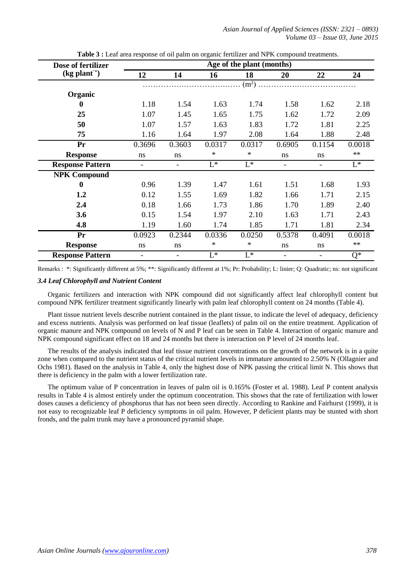| Dose of fertilizer         |                          |                          |        | Age of the plant (months) |                |        |        |
|----------------------------|--------------------------|--------------------------|--------|---------------------------|----------------|--------|--------|
| $(kg$ plant <sup>1</sup> ) | 12                       | 14                       | 16     | 18                        | 20             | 22     | 24     |
|                            |                          |                          |        | (m <sup>2</sup> )         |                |        |        |
| Organic                    |                          |                          |        |                           |                |        |        |
| 0                          | 1.18                     | 1.54                     | 1.63   | 1.74                      | 1.58           | 1.62   | 2.18   |
| 25                         | 1.07                     | 1.45                     | 1.65   | 1.75                      | 1.62           | 1.72   | 2.09   |
| 50                         | 1.07                     | 1.57                     | 1.63   | 1.83                      | 1.72           | 1.81   | 2.25   |
| 75                         | 1.16                     | 1.64                     | 1.97   | 2.08                      | 1.64           | 1.88   | 2.48   |
| Pr                         | 0.3696                   | 0.3603                   | 0.0317 | 0.0317                    | 0.6905         | 0.1154 | 0.0018 |
| <b>Response</b>            | ns                       | ns                       | *      | $\ast$                    | ns             | ns     | $**$   |
| <b>Response Pattern</b>    | $\overline{\phantom{0}}$ | $\overline{\phantom{a}}$ | $L^*$  | $L^*$                     | $\blacksquare$ |        | $L^*$  |
| <b>NPK Compound</b>        |                          |                          |        |                           |                |        |        |
| $\mathbf 0$                | 0.96                     | 1.39                     | 1.47   | 1.61                      | 1.51           | 1.68   | 1.93   |
| 1.2                        | 0.12                     | 1.55                     | 1.69   | 1.82                      | 1.66           | 1.71   | 2.15   |
| 2.4                        | 0.18                     | 1.66                     | 1.73   | 1.86                      | 1.70           | 1.89   | 2.40   |
| 3.6                        | 0.15                     | 1.54                     | 1.97   | 2.10                      | 1.63           | 1.71   | 2.43   |
| 4.8                        | 1.19                     | 1.60                     | 1.74   | 1.85                      | 1.71           | 1.81   | 2.34   |
| Pr                         | 0.0923                   | 0.2344                   | 0.0336 | 0.0250                    | 0.5378         | 0.4091 | 0.0018 |
| <b>Response</b>            | ns                       | ns                       | *      | *                         | ns             | ns     | $**$   |
| <b>Response Pattern</b>    |                          | $\overline{\phantom{a}}$ | $L^*$  | $L^*$                     |                |        | $Q^*$  |

**Table 3 :** Leaf area response of oil palm on organic fertilizer and NPK compound treatments.

Remarks : \*: Significantly different at 5%; \*\*: Significantly different at 1%; Pr: Probability; L: linier; Q: Quadratic; ns: not significant

#### *3.4 Leaf Chlorophyll and Nutrient Content*

Organic fertilizers and interaction with NPK compound did not significantly affect leaf chlorophyll content but compound NPK fertilizer treatment significantly linearly with palm leaf chlorophyll content on 24 months (Table 4).

Plant tissue nutrient levels describe nutrient contained in the plant tissue, to indicate the level of adequacy, deficiency and excess nutrients. Analysis was performed on leaf tissue (leaflets) of palm oil on the entire treatment. Application of organic manure and NPK compound on levels of N and P leaf can be seen in Table 4. Interaction of organic manure and NPK compound significant effect on 18 and 24 months but there is interaction on P level of 24 months leaf.

The results of the analysis indicated that leaf tissue nutrient concentrations on the growth of the network is in a quite zone when compared to the nutrient status of the critical nutrient levels in immature amounted to 2.50% N (Ollagnier and Ochs 1981). Based on the analysis in Table 4, only the highest dose of NPK passing the critical limit N. This shows that there is deficiency in the palm with a lower fertilization rate.

The optimum value of P concentration in leaves of palm oil is 0.165% (Foster et al. 1988). Leaf P content analysis results in Table 4 is almost entirely under the optimum concentration. This shows that the rate of fertilization with lower doses causes a deficiency of phosphorus that has not been seen directly. According to Rankine and Fairhurst (1999), it is not easy to recognizable leaf P deficiency symptoms in oil palm. However, P deficient plants may be stunted with short fronds, and the palm trunk may have a pronounced pyramid shape.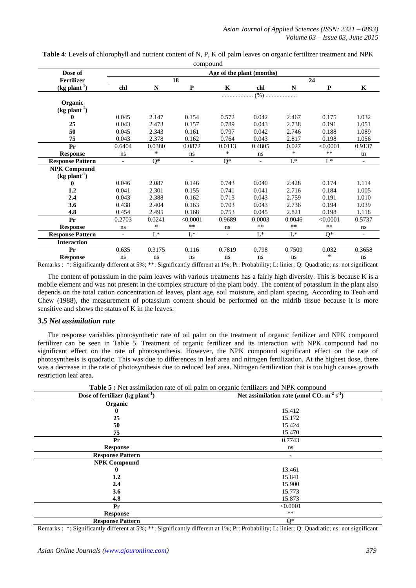| Dose of                     | Age of the plant (months) |             |              |                |            |             |              |                          |
|-----------------------------|---------------------------|-------------|--------------|----------------|------------|-------------|--------------|--------------------------|
| <b>Fertilizer</b>           |                           |             | 18           | 24             |            |             |              |                          |
| $(kg$ plant <sup>-1</sup> ) | chl                       | $\mathbf N$ | $\mathbf{P}$ | $\mathbf K$    | chl        | $\mathbf N$ | $\mathbf{P}$ | $\mathbf K$              |
|                             |                           |             |              |                | $(%)$      |             |              |                          |
| Organic                     |                           |             |              |                |            |             |              |                          |
| $(kg$ plant <sup>-1</sup> ) |                           |             |              |                |            |             |              |                          |
| 0                           | 0.045                     | 2.147       | 0.154        | 0.572          | 0.042      | 2.467       | 0.175        | 1.032                    |
| 25                          | 0.043                     | 2.473       | 0.157        | 0.789          | 0.043      | 2.738       | 0.191        | 1.051                    |
| 50                          | 0.045                     | 2.343       | 0.161        | 0.797          | 0.042      | 2.746       | 0.188        | 1.089                    |
| 75                          | 0.043                     | 2.378       | 0.162        | 0.764          | 0.043      | 2.817       | 0.198        | 1.056                    |
| Pr                          | 0.6404                    | 0.0380      | 0.0872       | 0.0113         | 0.4805     | 0.027       | < 0.0001     | 0.9137                   |
| <b>Response</b>             | ns                        | $\ast$      | ns           | $\ast$         | ns         | $\ast$      | $***$        | tn                       |
| <b>Response Pattern</b>     |                           | $Q^*$       |              | $Q^*$          |            | $L^*$       | $L^*$        | $\overline{\phantom{a}}$ |
| <b>NPK Compound</b>         |                           |             |              |                |            |             |              |                          |
| $(kg plant-1)$              |                           |             |              |                |            |             |              |                          |
| $\bf{0}$                    | 0.046                     | 2.087       | 0.146        | 0.743          | 0.040      | 2.428       | 0.174        | 1.114                    |
| 1.2                         | 0.041                     | 2.301       | 0.155        | 0.741          | 0.041      | 2.716       | 0.184        | 1.005                    |
| 2.4                         | 0.043                     | 2.388       | 0.162        | 0.713          | 0.043      | 2.759       | 0.191        | 1.010                    |
| 3.6                         | 0.438                     | 2.404       | 0.163        | 0.703          | 0.043      | 2.736       | 0.194        | 1.039                    |
| 4.8                         | 0.454                     | 2.495       | 0.168        | 0.753          | 0.045      | 2.821       | 0.198        | 1.118                    |
| Pr                          | 0.2703                    | 0.0241      | < 0,0001     | 0.9689         | 0.0003     | 0.0046      | < 0.0001     | 0.5737                   |
| <b>Response</b>             | ns                        | $\ast$      | $\ast\ast$   | ns             | $\ast\ast$ | $\ast\ast$  | $\ast\ast$   | ns                       |
| <b>Response Pattern</b>     |                           | $L^*$       | $L^*$        | $\overline{a}$ | $L^*$      | $L^*$       | $O^*$        | $\overline{\phantom{a}}$ |
| <b>Interaction</b>          |                           |             |              |                |            |             |              |                          |
| Pr                          | 0.635                     | 0.3175      | 0.116        | 0.7819         | 0.798      | 0.7509      | 0.032        | 0.3658                   |
| <b>Response</b>             | ns                        | ns          | ns           | ns             | ns         | ns          | $\ast$       | ns                       |

**Table 4**: Levels of chlorophyll and nutrient content of N, P, K oil palm leaves on organic fertilizer treatment and NPK compound

The content of potassium in the palm leaves with various treatments has a fairly high diversity. This is because K is a mobile element and was not present in the complex structure of the plant body. The content of potassium in the plant also depends on the total cation concentration of leaves, plant age, soil moisture, and plant spacing. According to Teoh and Chew (1988), the measurement of potassium content should be performed on the midrib tissue because it is more sensitive and shows the status of K in the leaves.

### *3.5 Net assimilation rate*

The response variables photosynthetic rate of oil palm on the treatment of organic fertilizer and NPK compound fertilizer can be seen in Table 5. Treatment of organic fertilizer and its interaction with NPK compound had no significant effect on the rate of photosynthesis. However, the NPK compound significant effect on the rate of photosynthesis is quadratic. This was due to differences in leaf area and nitrogen fertilization. At the highest dose, there was a decrease in the rate of photosynthesis due to reduced leaf area. Nitrogen fertilization that is too high causes growth restriction leaf area.

|                                                | <b>Table 5 :</b> Net assimilation rate of oil palm on organic fertilizers and NPK compound |  |  |  |  |
|------------------------------------------------|--------------------------------------------------------------------------------------------|--|--|--|--|
| Dose of fertilizer $(kg$ plant <sup>-1</sup> ) | Net assimilation rate ( $\mu$ mol CO <sub>2</sub> m <sup>-2</sup> s <sup>-1</sup> )        |  |  |  |  |
| Organic                                        |                                                                                            |  |  |  |  |
| 0                                              | 15.412                                                                                     |  |  |  |  |
| 25                                             | 15.172                                                                                     |  |  |  |  |
| 50                                             | 15.424                                                                                     |  |  |  |  |
| 75                                             | 15.470                                                                                     |  |  |  |  |
| Pr                                             | 0.7743                                                                                     |  |  |  |  |
| <b>Response</b>                                | ns                                                                                         |  |  |  |  |
| <b>Response Pattern</b>                        |                                                                                            |  |  |  |  |
| <b>NPK Compound</b>                            |                                                                                            |  |  |  |  |
| $\bf{0}$                                       | 13.461                                                                                     |  |  |  |  |
| $1.2\phantom{0}$                               | 15.841                                                                                     |  |  |  |  |
| 2.4                                            | 15.900                                                                                     |  |  |  |  |
| 3.6                                            | 15.773                                                                                     |  |  |  |  |
| 4.8                                            | 15.873                                                                                     |  |  |  |  |
| Pr                                             | < 0.0001                                                                                   |  |  |  |  |
| <b>Response</b>                                | **                                                                                         |  |  |  |  |
| <b>Response Pattern</b>                        | $Q^*$                                                                                      |  |  |  |  |

**Table 5 :** Net assimilation rate of oil palm on organic fertilizers and NPK compound

Remarks : \*: Significantly different at 5%; \*\*: Significantly different at 1%; Pr: Probability; L: linier; Q: Quadratic; ns: not significant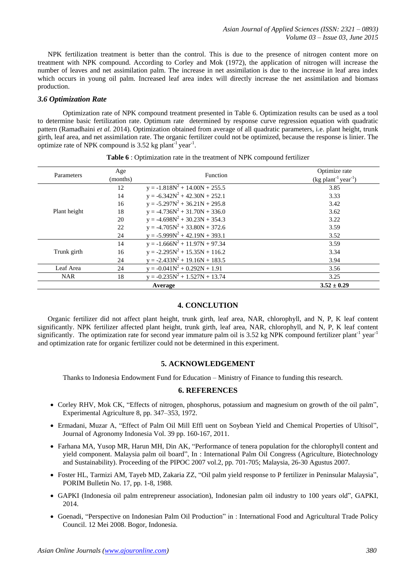NPK fertilization treatment is better than the control. This is due to the presence of nitrogen content more on treatment with NPK compound. According to Corley and Mok (1972), the application of nitrogen will increase the number of leaves and net assimilation palm. The increase in net assimilation is due to the increase in leaf area index which occurs in young oil palm. Increased leaf area index will directly increase the net assimilation and biomass production.

# *3.6 Optimization Rate*

Optimization rate of NPK compound treatment presented in Table 6. Optimization results can be used as a tool to determine basic fertilization rate. Optimum rate determined by response curve regression equation with quadratic pattern (Ramadhaini *et al.* 2014). Optimization obtained from average of all quadratic parameters, i.e. plant height, trunk girth, leaf area, and net assimilation rate. The organic fertilizer could not be optimized, because the response is linier. The optimize rate of NPK compound is  $3.52$  kg plant<sup>-1</sup> year<sup>-1</sup>.

| Parameters   | Age<br>(months) | <b>Function</b>                  | Optimize rate<br>$(kg$ plant <sup>-1</sup> year <sup>-1</sup> ) |
|--------------|-----------------|----------------------------------|-----------------------------------------------------------------|
|              | 12              | $y = -1.818N^2 + 14.00N + 255.5$ | 3.85                                                            |
|              | 14              | $y = -6.342N^2 + 42.30N + 252.1$ | 3.33                                                            |
|              | 16              | $y = -5.297N^2 + 36.21N + 295.8$ | 3.42                                                            |
| Plant height | 18              | $y = -4.736N^2 + 31.70N + 336.0$ | 3.62                                                            |
|              | 20              | $y = -4.698N^2 + 30.23N + 354.3$ | 3.22                                                            |
|              | 22              | $y = -4.705N^2 + 33.80N + 372.6$ | 3.59                                                            |
|              | 24              | $y = -5.999N^2 + 42.19N + 393.1$ | 3.52                                                            |
|              | 14              | $y = -1.666N^2 + 11.97N + 97.34$ | 3.59                                                            |
| Trunk girth  | 16              | $y = -2.295N^2 + 15.35N + 116.2$ | 3.34                                                            |
|              | 24              | $y = -2.433N^2 + 19.16N + 183.5$ | 3.94                                                            |
| Leaf Area    | 24              | $y = -0.041N^2 + 0.292N + 1.91$  | 3.56                                                            |
| <b>NAR</b>   | 18              | $= -0.235N^{2} + 1.527N + 13.74$ | 3.25                                                            |
|              |                 | Average                          | $3.52 \pm 0.29$                                                 |

**Table 6** : Optimization rate in the treatment of NPK compound fertilizer

# **4. CONCLUTION**

Organic fertilizer did not affect plant height, trunk girth, leaf area, NAR, chlorophyll, and N, P, K leaf content significantly. NPK fertilizer affected plant height, trunk girth, leaf area, NAR, chlorophyll, and N, P, K leaf content significantly. The optimization rate for second year immature palm oil is 3.52 kg NPK compound fertilizer plant<sup>-1</sup> year<sup>-1</sup> and optimization rate for organic fertilizer could not be determined in this experiment.

### **5. ACKNOWLEDGEMENT**

Thanks to Indonesia Endowment Fund for Education – Ministry of Finance to funding this research.

# **6. REFERENCES**

- Corley RHV, Mok CK, "Effects of nitrogen, phosphorus, potassium and magnesium on growth of the oil palm", Experimental Agriculture 8, pp. 347–353, 1972.
- Ermadani, Muzar A, "Effect of Palm Oil Mill Effl uent on Soybean Yield and Chemical Properties of Ultisol", Journal of Agronomy Indonesia Vol. 39 pp. 160-167, 2011.
- Farhana MA, Yusop MR, Harun MH, Din AK, "Performance of tenera population for the chlorophyll content and yield component. Malaysia palm oil board", In : International Palm Oil Congress (Agriculture, Biotechnology and Sustainability). Proceeding of the PIPOC 2007 vol.2, pp. 701-705; Malaysia, 26-30 Agustus 2007.
- Foster HL, Tarmizi AM, Tayeb MD, Zakaria ZZ, "Oil palm yield response to P fertilizer in Peninsular Malaysia", PORIM Bulletin No. 17, pp. 1-8, 1988.
- GAPKI (Indonesia oil palm entrepreneur association), Indonesian palm oil industry to 100 years old", GAPKI, 2014.
- Goenadi, "Perspective on Indonesian Palm Oil Production" in : International Food and Agricultural Trade Policy Council. 12 Mei 2008. Bogor, Indonesia.